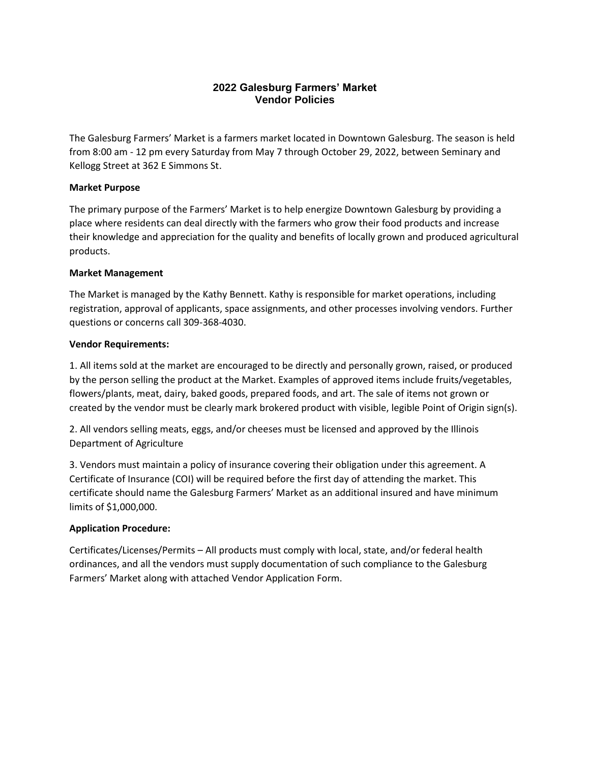# **2022 Galesburg Farmers' Market Vendor Policies**

The Galesburg Farmers' Market is a farmers market located in Downtown Galesburg. The season is held from 8:00 am - 12 pm every Saturday from May 7 through October 29, 2022, between Seminary and Kellogg Street at 362 E Simmons St.

## **Market Purpose**

The primary purpose of the Farmers' Market is to help energize Downtown Galesburg by providing a place where residents can deal directly with the farmers who grow their food products and increase their knowledge and appreciation for the quality and benefits of locally grown and produced agricultural products.

#### **Market Management**

The Market is managed by the Kathy Bennett. Kathy is responsible for market operations, including registration, approval of applicants, space assignments, and other processes involving vendors. Further questions or concerns call 309-368-4030.

#### **Vendor Requirements:**

1. All items sold at the market are encouraged to be directly and personally grown, raised, or produced by the person selling the product at the Market. Examples of approved items include fruits/vegetables, flowers/plants, meat, dairy, baked goods, prepared foods, and art. The sale of items not grown or created by the vendor must be clearly mark brokered product with visible, legible Point of Origin sign(s).

2. All vendors selling meats, eggs, and/or cheeses must be licensed and approved by the Illinois Department of Agriculture

3. Vendors must maintain a policy of insurance covering their obligation under this agreement. A Certificate of Insurance (COI) will be required before the first day of attending the market. This certificate should name the Galesburg Farmers' Market as an additional insured and have minimum limits of \$1,000,000.

## **Application Procedure:**

Certificates/Licenses/Permits – All products must comply with local, state, and/or federal health ordinances, and all the vendors must supply documentation of such compliance to the Galesburg Farmers' Market along with attached Vendor Application Form.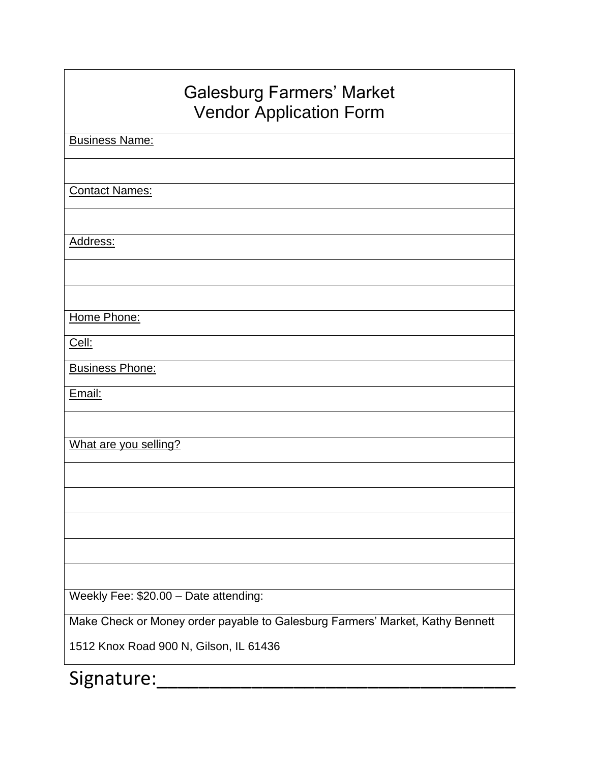| <b>Galesburg Farmers' Market</b><br><b>Vendor Application Form</b>            |
|-------------------------------------------------------------------------------|
| <b>Business Name:</b>                                                         |
|                                                                               |
| <b>Contact Names:</b>                                                         |
| Address:                                                                      |
|                                                                               |
|                                                                               |
| Home Phone:                                                                   |
| Cell:                                                                         |
| <b>Business Phone:</b>                                                        |
| Email:                                                                        |
|                                                                               |
| What are you selling?                                                         |
|                                                                               |
|                                                                               |
|                                                                               |
|                                                                               |
| Weekly Fee: \$20.00 - Date attending:                                         |
| Make Check or Money order payable to Galesburg Farmers' Market, Kathy Bennett |
| 1512 Knox Road 900 N, Gilson, IL 61436                                        |
| Signature:                                                                    |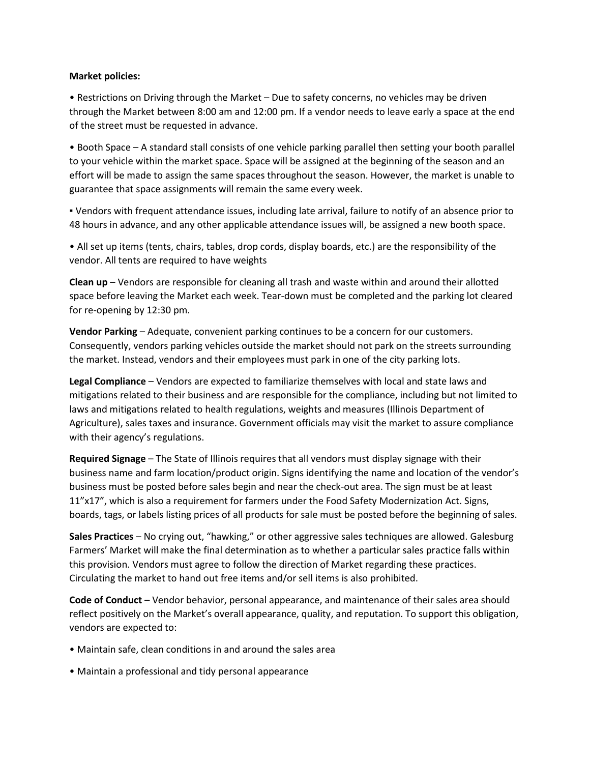#### **Market policies:**

• Restrictions on Driving through the Market – Due to safety concerns, no vehicles may be driven through the Market between 8:00 am and 12:00 pm. If a vendor needs to leave early a space at the end of the street must be requested in advance.

• Booth Space – A standard stall consists of one vehicle parking parallel then setting your booth parallel to your vehicle within the market space. Space will be assigned at the beginning of the season and an effort will be made to assign the same spaces throughout the season. However, the market is unable to guarantee that space assignments will remain the same every week.

▪ Vendors with frequent attendance issues, including late arrival, failure to notify of an absence prior to 48 hours in advance, and any other applicable attendance issues will, be assigned a new booth space.

• All set up items (tents, chairs, tables, drop cords, display boards, etc.) are the responsibility of the vendor. All tents are required to have weights

**Clean up** – Vendors are responsible for cleaning all trash and waste within and around their allotted space before leaving the Market each week. Tear-down must be completed and the parking lot cleared for re-opening by 12:30 pm.

**Vendor Parking** – Adequate, convenient parking continues to be a concern for our customers. Consequently, vendors parking vehicles outside the market should not park on the streets surrounding the market. Instead, vendors and their employees must park in one of the city parking lots.

**Legal Compliance** – Vendors are expected to familiarize themselves with local and state laws and mitigations related to their business and are responsible for the compliance, including but not limited to laws and mitigations related to health regulations, weights and measures (Illinois Department of Agriculture), sales taxes and insurance. Government officials may visit the market to assure compliance with their agency's regulations.

**Required Signage** – The State of Illinois requires that all vendors must display signage with their business name and farm location/product origin. Signs identifying the name and location of the vendor's business must be posted before sales begin and near the check-out area. The sign must be at least 11"x17", which is also a requirement for farmers under the Food Safety Modernization Act. Signs, boards, tags, or labels listing prices of all products for sale must be posted before the beginning of sales.

**Sales Practices** – No crying out, "hawking," or other aggressive sales techniques are allowed. Galesburg Farmers' Market will make the final determination as to whether a particular sales practice falls within this provision. Vendors must agree to follow the direction of Market regarding these practices. Circulating the market to hand out free items and/or sell items is also prohibited.

**Code of Conduct** – Vendor behavior, personal appearance, and maintenance of their sales area should reflect positively on the Market's overall appearance, quality, and reputation. To support this obligation, vendors are expected to:

- Maintain safe, clean conditions in and around the sales area
- Maintain a professional and tidy personal appearance